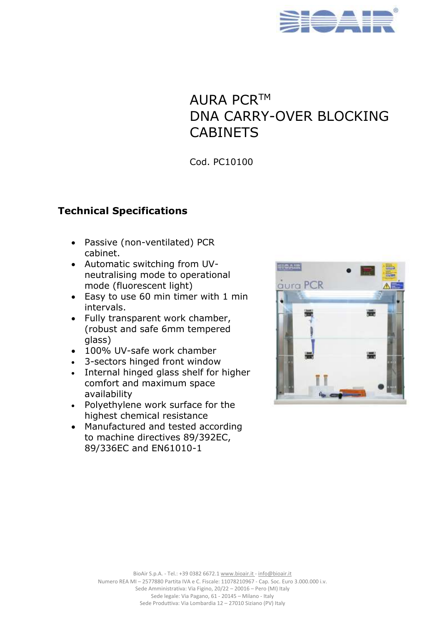

# AURA PCR™ DNA CARRY-OVER BLOCKING **CABINETS**

Cod. PC10100

#### **Technical Specifications**

- Passive (non-ventilated) PCR cabinet.
- Automatic switching from UVneutralising mode to operational mode (fluorescent light)
- Easy to use 60 min timer with 1 min intervals.
- Fully transparent work chamber, (robust and safe 6mm tempered glass)
- 100% UV-safe work chamber
- 3-sectors hinged front window
- Internal hinged glass shelf for higher comfort and maximum space availability
- Polyethylene work surface for the highest chemical resistance
- Manufactured and tested according to machine directives 89/392EC, 89/336EC and EN61010-1



BioAir S.p.A. - Tel.: +39 0382 6672.1 www.bioair.it - [info@bioair.it](mailto:info@bioair.it)

Numero REA MI – 2577880 Partita IVA e C. Fiscale: 11078210967 - Cap. Soc. Euro 3.000.000 i.v. Sede Amministrativa: Via Figino, 20/22 – 20016 – Pero (MI) Italy Sede legale: Via Pagano, 61 - 20145 – Milano - Italy Sede Produttiva: Via Lombardia 12 – 27010 Siziano (PV) Italy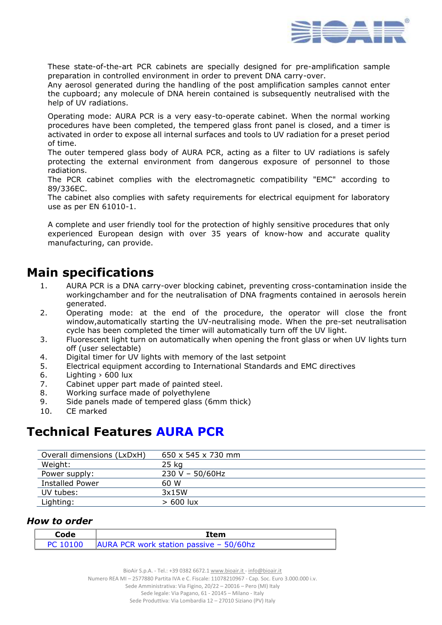

These state-of-the-art PCR cabinets are specially designed for pre-amplification sample preparation in controlled environment in order to prevent DNA carry-over.

Any aerosol generated during the handling of the post amplification samples cannot enter the cupboard; any molecule of DNA herein contained is subsequently neutralised with the help of UV radiations.

Operating mode: AURA PCR is a very easy-to-operate cabinet. When the normal working procedures have been completed, the tempered glass front panel is closed, and a timer is activated in order to expose all internal surfaces and tools to UV radiation for a preset period of time.

The outer tempered glass body of AURA PCR, acting as a filter to UV radiations is safely protecting the external environment from dangerous exposure of personnel to those radiations.

The PCR cabinet complies with the electromagnetic compatibility "EMC" according to 89/336EC.

The cabinet also complies with safety requirements for electrical equipment for laboratory use as per EN 61010-1.

A complete and user friendly tool for the protection of highly sensitive procedures that only experienced European design with over 35 years of know-how and accurate quality manufacturing, can provide.

### **Main specifications**

- 1. AURA PCR is a DNA carry-over blocking cabinet, preventing cross-contamination inside the workingchamber and for the neutralisation of DNA fragments contained in aerosols herein generated.
- 2. Operating mode: at the end of the procedure, the operator will close the front window,automatically starting the UV-neutralising mode. When the pre-set neutralisation cycle has been completed the timer will automatically turn off the UV light.
- 3. Fluorescent light turn on automatically when opening the front glass or when UV lights turn off (user selectable)
- 4. Digital timer for UV lights with memory of the last setpoint
- 5. Electrical equipment according to International Standards and EMC directives
- 6. Lighting › 600 lux
- 7. Cabinet upper part made of painted steel.
- 8. Working surface made of polyethylene
- 9. Side panels made of tempered glass (6mm thick)
- 10. CE marked

## **Technical Features AURA PCR**

| Overall dimensions (LxDxH) | $650 \times 545 \times 730$ mm |
|----------------------------|--------------------------------|
| Weight:                    | 25 kg                          |
| Power supply:              | $230 V - 50/60 Hz$             |
| <b>Installed Power</b>     | 60 W                           |
| UV tubes:                  | 3x15W                          |
| Lighting:                  | $>600$ lux                     |
|                            |                                |

#### *How to order*

| Code | Item                                               |
|------|----------------------------------------------------|
|      | PC 10100   AURA PCR work station passive - 50/60hz |

Sede Amministrativa: Via Figino, 20/22 – 20016 – Pero (MI) Italy

Sede legale: Via Pagano, 61 - 20145 – Milano - Italy

Sede Produttiva: Via Lombardia 12 – 27010 Siziano (PV) Italy